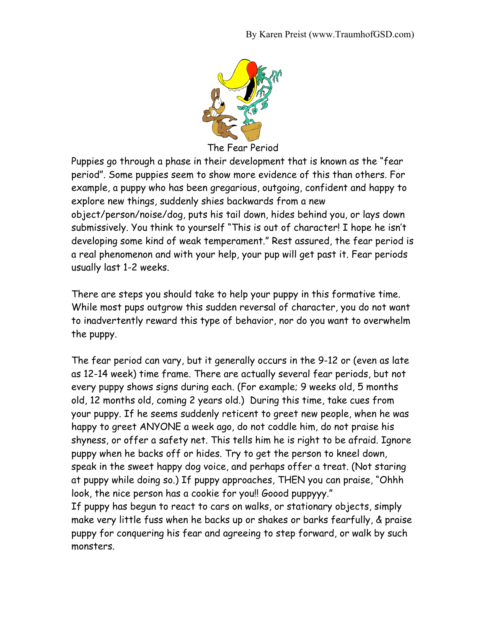

The Fear Period

Puppies go through a phase in their development that is known as the "fear period". Some puppies seem to show more evidence of this than others. For example, a puppy who has been gregarious, outgoing, confident and happy to explore new things, suddenly shies backwards from a new object/person/noise/dog, puts his tail down, hides behind you, or lays down submissively. You think to yourself "This is out of character! I hope he isn't developing some kind of weak temperament." Rest assured, the fear period is a real phenomenon and with your help, your pup will get past it. Fear periods usually last 1-2 weeks.

There are steps you should take to help your puppy in this formative time. While most pups outgrow this sudden reversal of character, you do not want to inadvertently reward this type of behavior, nor do you want to overwhelm the puppy.

The fear period can vary, but it generally occurs in the 9-12 or (even as late as 12-14 week) time frame. There are actually several fear periods, but not every puppy shows signs during each. (For example; 9 weeks old, 5 months old, 12 months old, coming 2 years old.) During this time, take cues from your puppy. If he seems suddenly reticent to greet new people, when he was happy to greet ANYONE a week ago, do not coddle him, do not praise his shyness, or offer a safety net. This tells him he is right to be afraid. Ignore puppy when he backs off or hides. Try to get the person to kneel down, speak in the sweet happy dog voice, and perhaps offer a treat. (Not staring at puppy while doing so.) If puppy approaches, THEN you can praise, "Ohhh look, the nice person has a cookie for you!! Goood puppyyy."

If puppy has begun to react to cars on walks, or stationary objects, simply make very little fuss when he backs up or shakes or barks fearfully, & praise puppy for conquering his fear and agreeing to step forward, or walk by such monsters.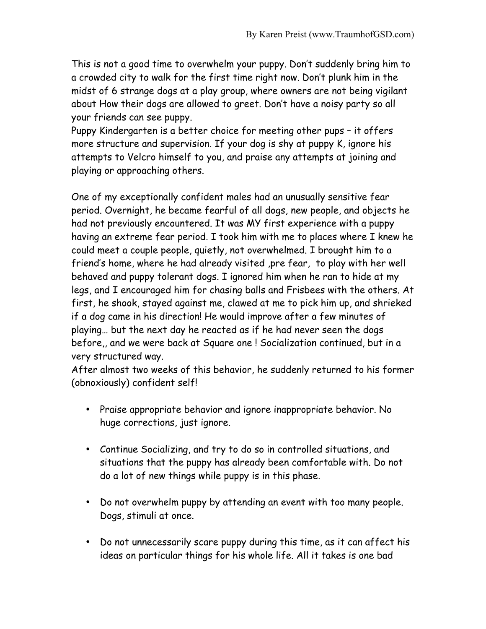This is not a good time to overwhelm your puppy. Don't suddenly bring him to a crowded city to walk for the first time right now. Don't plunk him in the midst of 6 strange dogs at a play group, where owners are not being vigilant about How their dogs are allowed to greet. Don't have a noisy party so all your friends can see puppy.

Puppy Kindergarten is a better choice for meeting other pups – it offers more structure and supervision. If your dog is shy at puppy K, ignore his attempts to Velcro himself to you, and praise any attempts at joining and playing or approaching others.

One of my exceptionally confident males had an unusually sensitive fear period. Overnight, he became fearful of all dogs, new people, and objects he had not previously encountered. It was MY first experience with a puppy having an extreme fear period. I took him with me to places where I knew he could meet a couple people, quietly, not overwhelmed. I brought him to a friend's home, where he had already visited ,pre fear, to play with her well behaved and puppy tolerant dogs. I ignored him when he ran to hide at my legs, and I encouraged him for chasing balls and Frisbees with the others. At first, he shook, stayed against me, clawed at me to pick him up, and shrieked if a dog came in his direction! He would improve after a few minutes of playing… but the next day he reacted as if he had never seen the dogs before,, and we were back at Square one ! Socialization continued, but in a very structured way.

After almost two weeks of this behavior, he suddenly returned to his former (obnoxiously) confident self!

- Praise appropriate behavior and ignore inappropriate behavior. No huge corrections, just ignore.
- Continue Socializing, and try to do so in controlled situations, and situations that the puppy has already been comfortable with. Do not do a lot of new things while puppy is in this phase.
- Do not overwhelm puppy by attending an event with too many people. Dogs, stimuli at once.
- Do not unnecessarily scare puppy during this time, as it can affect his ideas on particular things for his whole life. All it takes is one bad